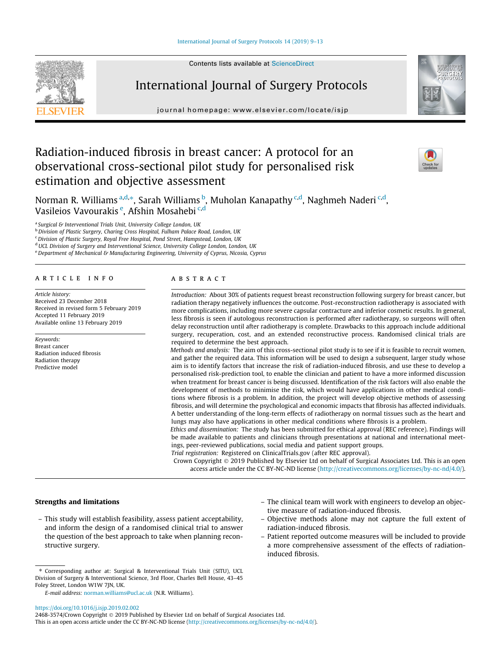

# International Journal of Surgery Protocols

journal homepage: [www.elsevier.com/locate/isjp](http://www.elsevier.com/locate/isjp)



# Radiation-induced fibrosis in breast cancer: A protocol for an observational cross-sectional pilot study for personalised risk estimation and objective assessment



Norman R. Williams <sup>a,d,</sup>\*, Sarah Williams <sup>b</sup>, Muholan Kanapathy <sup>c,d</sup>, Naghmeh Naderi <sup>c,d</sup>, Vasileios Vavourakis <sup>e</sup>, Afshin Mosahebi <sup>c,d</sup>

<sup>a</sup> Surgical & Interventional Trials Unit, University College London, UK

b Division of Plastic Surgery, Charing Cross Hospital, Fulham Palace Road, London, UK

<sup>c</sup>Division of Plastic Surgery, Royal Free Hospital, Pond Street, Hampstead, London, UK

<sup>d</sup> UCL Division of Surgery and Interventional Science, University College London, London, UK

 $e^e$  Department of Mechanical & Manufacturing Engineering, University of Cyprus, Nicosia, Cyprus

# article info

Article history: Received 23 December 2018 Received in revised form 5 February 2019 Accepted 11 February 2019 Available online 13 February 2019

# Keywords: Breast cancer Radiation induced fibrosis

Radiation therapy Predictive model

# **ABSTRACT**

Introduction: About 30% of patients request breast reconstruction following surgery for breast cancer, but radiation therapy negatively influences the outcome. Post-reconstruction radiotherapy is associated with more complications, including more severe capsular contracture and inferior cosmetic results. In general, less fibrosis is seen if autologous reconstruction is performed after radiotherapy, so surgeons will often delay reconstruction until after radiotherapy is complete. Drawbacks to this approach include additional surgery, recuperation, cost, and an extended reconstructive process. Randomised clinical trials are required to determine the best approach.

Methods and analysis: The aim of this cross-sectional pilot study is to see if it is feasible to recruit women, and gather the required data. This information will be used to design a subsequent, larger study whose aim is to identify factors that increase the risk of radiation-induced fibrosis, and use these to develop a personalised risk-prediction tool, to enable the clinician and patient to have a more informed discussion when treatment for breast cancer is being discussed. Identification of the risk factors will also enable the development of methods to minimise the risk, which would have applications in other medical conditions where fibrosis is a problem. In addition, the project will develop objective methods of assessing fibrosis, and will determine the psychological and economic impacts that fibrosis has affected individuals. A better understanding of the long-term effects of radiotherapy on normal tissues such as the heart and lungs may also have applications in other medical conditions where fibrosis is a problem.

Ethics and dissemination: The study has been submitted for ethical approval (REC reference). Findings will be made available to patients and clinicians through presentations at national and international meetings, peer-reviewed publications, social media and patient support groups.

Trial registration: Registered on ClinicalTrials.gov (after REC approval).

Crown Copyright 2019 Published by Elsevier Ltd on behalf of Surgical Associates Ltd. This is an open access article under the CC BY-NC-ND license (<http://creativecommons.org/licenses/by-nc-nd/4.0/>).

# Strengths and limitations

– This study will establish feasibility, assess patient acceptability, and inform the design of a randomised clinical trial to answer the question of the best approach to take when planning reconstructive surgery.

E-mail address: [norman.williams@ucl.ac.uk](mailto:norman.williams@ucl.ac.uk) (N.R. Williams).

<https://doi.org/10.1016/j.isjp.2019.02.002>

- The clinical team will work with engineers to develop an objective measure of radiation-induced fibrosis.
- Objective methods alone may not capture the full extent of radiation-induced fibrosis.
- Patient reported outcome measures will be included to provide a more comprehensive assessment of the effects of radiationinduced fibrosis.

<sup>⇑</sup> Corresponding author at: Surgical & Interventional Trials Unit (SITU), UCL Division of Surgery & Interventional Science, 3rd Floor, Charles Bell House, 43–45 Foley Street, London W1W 7JN, UK.

<sup>2468-3574/</sup>Crown Copyright © 2019 Published by Elsevier Ltd on behalf of Surgical Associates Ltd.

This is an open access article under the CC BY-NC-ND license ([http://creativecommons.org/licenses/by-nc-nd/4.0/\)](http://creativecommons.org/licenses/by-nc-nd/4.0/).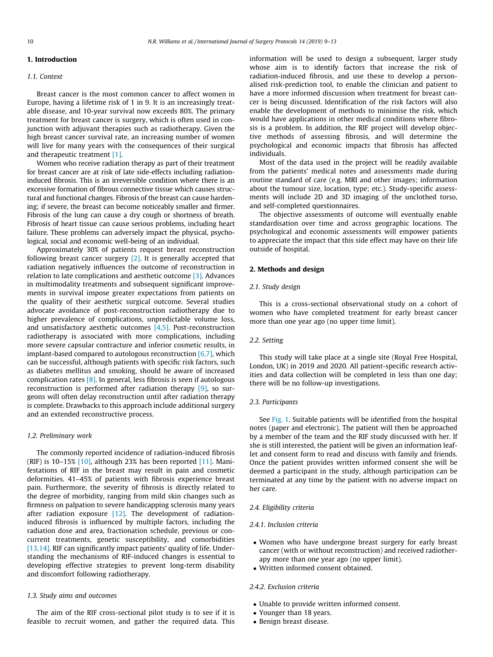# 1. Introduction

## 1.1. Context

Breast cancer is the most common cancer to affect women in Europe, having a lifetime risk of 1 in 9. It is an increasingly treatable disease, and 10-year survival now exceeds 80%. The primary treatment for breast cancer is surgery, which is often used in conjunction with adjuvant therapies such as radiotherapy. Given the high breast cancer survival rate, an increasing number of women will live for many years with the consequences of their surgical and therapeutic treatment [\[1\]](#page-4-0).

Women who receive radiation therapy as part of their treatment for breast cancer are at risk of late side-effects including radiationinduced fibrosis. This is an irreversible condition where there is an excessive formation of fibrous connective tissue which causes structural and functional changes. Fibrosis of the breast can cause hardening; if severe, the breast can become noticeably smaller and firmer. Fibrosis of the lung can cause a dry cough or shortness of breath. Fibrosis of heart tissue can cause serious problems, including heart failure. These problems can adversely impact the physical, psychological, social and economic well-being of an individual.

Approximately 30% of patients request breast reconstruction following breast cancer surgery [\[2\]](#page-4-0). It is generally accepted that radiation negatively influences the outcome of reconstruction in relation to late complications and aesthetic outcome [\[3\].](#page-4-0) Advances in multimodality treatments and subsequent significant improvements in survival impose greater expectations from patients on the quality of their aesthetic surgical outcome. Several studies advocate avoidance of post-reconstruction radiotherapy due to higher prevalence of complications, unpredictable volume loss, and unsatisfactory aesthetic outcomes [\[4,5\].](#page-4-0) Post-reconstruction radiotherapy is associated with more complications, including more severe capsular contracture and inferior cosmetic results, in implant-based compared to autologous reconstruction  $[6,7]$ , which can be successful, although patients with specific risk factors, such as diabetes mellitus and smoking, should be aware of increased complication rates [\[8\]](#page-4-0). In general, less fibrosis is seen if autologous reconstruction is performed after radiation therapy [\[9\]](#page-4-0), so surgeons will often delay reconstruction until after radiation therapy is complete. Drawbacks to this approach include additional surgery and an extended reconstructive process.

# 1.2. Preliminary work

The commonly reported incidence of radiation-induced fibrosis (RIF) is 10-15%  $[10]$ , although 23% has been reported  $[11]$ . Manifestations of RIF in the breast may result in pain and cosmetic deformities. 41–45% of patients with fibrosis experience breast pain. Furthermore, the severity of fibrosis is directly related to the degree of morbidity, ranging from mild skin changes such as firmness on palpation to severe handicapping sclerosis many years after radiation exposure  $[12]$ . The development of radiationinduced fibrosis is influenced by multiple factors, including the radiation dose and area, fractionation schedule, previous or concurrent treatments, genetic susceptibility, and comorbidities [\[13,14\].](#page-4-0) RIF can significantly impact patients' quality of life. Understanding the mechanisms of RIF-induced changes is essential to developing effective strategies to prevent long-term disability and discomfort following radiotherapy.

## 1.3. Study aims and outcomes

The aim of the RIF cross-sectional pilot study is to see if it is feasible to recruit women, and gather the required data. This information will be used to design a subsequent, larger study whose aim is to identify factors that increase the risk of radiation-induced fibrosis, and use these to develop a personalised risk-prediction tool, to enable the clinician and patient to have a more informed discussion when treatment for breast cancer is being discussed. Identification of the risk factors will also enable the development of methods to minimise the risk, which would have applications in other medical conditions where fibrosis is a problem. In addition, the RIF project will develop objective methods of assessing fibrosis, and will determine the psychological and economic impacts that fibrosis has affected individuals.

Most of the data used in the project will be readily available from the patients' medical notes and assessments made during routine standard of care (e.g. MRI and other images; information about the tumour size, location, type; etc.). Study-specific assessments will include 2D and 3D imaging of the unclothed torso, and self-completed questionnaires.

The objective assessments of outcome will eventually enable standardisation over time and across geographic locations. The psychological and economic assessments will empower patients to appreciate the impact that this side effect may have on their life outside of hospital.

# 2. Methods and design

# 2.1. Study design

This is a cross-sectional observational study on a cohort of women who have completed treatment for early breast cancer more than one year ago (no upper time limit).

# 2.2. Setting

This study will take place at a single site (Royal Free Hospital, London, UK) in 2019 and 2020. All patient-specific research activities and data collection will be completed in less than one day; there will be no follow-up investigations.

#### 2.3. Participants

See [Fig. 1](#page-2-0). Suitable patients will be identified from the hospital notes (paper and electronic). The patient will then be approached by a member of the team and the RIF study discussed with her. If she is still interested, the patient will be given an information leaflet and consent form to read and discuss with family and friends. Once the patient provides written informed consent she will be deemed a participant in the study, although participation can be terminated at any time by the patient with no adverse impact on her care.

## 2.4. Eligibility criteria

### 2.4.1. Inclusion criteria

- Women who have undergone breast surgery for early breast cancer (with or without reconstruction) and received radiotherapy more than one year ago (no upper limit).
- Written informed consent obtained.

# 2.4.2. Exclusion criteria

- Unable to provide written informed consent.
- Younger than 18 years.
- Benign breast disease.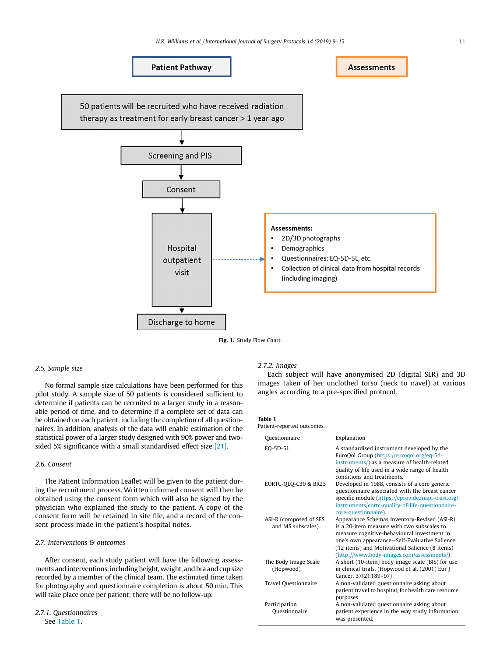<span id="page-2-0"></span>

Fig. 1. Study Flow Chart.

# 2.5. Sample size

No formal sample size calculations have been performed for this pilot study. A sample size of 50 patients is considered sufficient to determine if patients can be recruited to a larger study in a reasonable period of time, and to determine if a complete set of data can be obtained on each patient, including the completion of all questionnaires. In addition, analysis of the data will enable estimation of the statistical power of a larger study designed with 90% power and twosided 5% significance with a small standardised effect size [\[21\].](#page-4-0)

## 2.6. Consent

The Patient Information Leaflet will be given to the patient during the recruitment process. Written informed consent will then be obtained using the consent form which will also be signed by the physician who explained the study to the patient. A copy of the consent form will be retained in site file, and a record of the consent process made in the patient's hospital notes.

## 2.7. Interventions & outcomes

After consent, each study patient will have the following assessments and interventions, including height, weight, and bra and cup size recorded by a member of the clinical team. The estimated time taken for photography and questionnaire completion is about 50 min. This will take place once per patient; there will be no follow-up.

## 2.7.1. Questionnaires See Table 1.

# 2.7.2. Images

Each subject will have anonymised 2D (digital SLR) and 3D images taken of her unclothed torso (neck to navel) at various angles according to a pre-specified protocol.

#### Table 1 Patient-reported outcomes.

| Ouestionnaire                               | Explanation                                                                                                                                                                                                                                                                               |
|---------------------------------------------|-------------------------------------------------------------------------------------------------------------------------------------------------------------------------------------------------------------------------------------------------------------------------------------------|
| EQ-5D-5L                                    | A standardised instrument developed by the<br>EuroQol Group (https://euroqol.org/eq-5d-<br>instruments/) as a measure of health-related<br>quality of life used in a wide range of health<br>conditions and treatments.                                                                   |
| EORTC-OLO-C30 & BR23                        | Developed in 1988, consists of a core generic<br>questionnaire associated with the breast cancer<br>specific module (https://eprovide.mapi-trust.org/<br>instruments/eortc-quality-of-life-questionnaire-<br>core-questionnaire).                                                         |
| ASI-R (composed of SES<br>and MS subscales) | Appearance Schemas Inventory-Revised (ASI-R)<br>is a 20-item measure with two subscales to<br>measure cognitive-behavioural investment in<br>one's own appearance-Self-Evaluative Salience<br>(12 items) and Motivational Salience (8 items)<br>(http://www.body-images.com/assessments/) |
| The Body Image Scale<br>(Hopwood)           | A short (10-item) body image scale (BIS) for use<br>in clinical trials. (Hopwood et al. (2001) Eur J<br>Cancer. 37(2):189-97)                                                                                                                                                             |
| Travel Questionnaire                        | A non-validated questionnaire asking about<br>patient travel to hospital, for health care resource<br>purposes.                                                                                                                                                                           |
| Participation<br>Questionnaire              | A non-validated questionnaire asking about<br>patient experience in the way study information<br>was presented.                                                                                                                                                                           |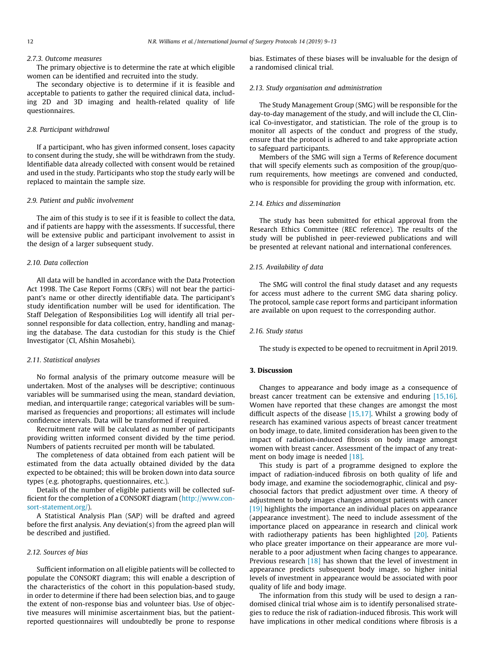#### 2.7.3. Outcome measures

The primary objective is to determine the rate at which eligible women can be identified and recruited into the study.

The secondary objective is to determine if it is feasible and acceptable to patients to gather the required clinical data, including 2D and 3D imaging and health-related quality of life questionnaires.

# 2.8. Participant withdrawal

If a participant, who has given informed consent, loses capacity to consent during the study, she will be withdrawn from the study. Identifiable data already collected with consent would be retained and used in the study. Participants who stop the study early will be replaced to maintain the sample size.

# 2.9. Patient and public involvement

The aim of this study is to see if it is feasible to collect the data, and if patients are happy with the assessments. If successful, there will be extensive public and participant involvement to assist in the design of a larger subsequent study.

## 2.10. Data collection

All data will be handled in accordance with the Data Protection Act 1998. The Case Report Forms (CRFs) will not bear the participant's name or other directly identifiable data. The participant's study identification number will be used for identification. The Staff Delegation of Responsibilities Log will identify all trial personnel responsible for data collection, entry, handling and managing the database. The data custodian for this study is the Chief Investigator (CI, Afshin Mosahebi).

## 2.11. Statistical analyses

No formal analysis of the primary outcome measure will be undertaken. Most of the analyses will be descriptive; continuous variables will be summarised using the mean, standard deviation, median, and interquartile range; categorical variables will be summarised as frequencies and proportions; all estimates will include confidence intervals. Data will be transformed if required.

Recruitment rate will be calculated as number of participants providing written informed consent divided by the time period. Numbers of patients recruited per month will be tabulated.

The completeness of data obtained from each patient will be estimated from the data actually obtained divided by the data expected to be obtained; this will be broken down into data source types (e.g. photographs, questionnaires, etc.).

Details of the number of eligible patients will be collected sufficient for the completion of a CONSORT diagram ([http://www.con](http://www.consort-statement.org/)[sort-statement.org/\)](http://www.consort-statement.org/).

A Statistical Analysis Plan (SAP) will be drafted and agreed before the first analysis. Any deviation(s) from the agreed plan will be described and justified.

## 2.12. Sources of bias

Sufficient information on all eligible patients will be collected to populate the CONSORT diagram; this will enable a description of the characteristics of the cohort in this population-based study, in order to determine if there had been selection bias, and to gauge the extent of non-response bias and volunteer bias. Use of objective measures will minimise ascertainment bias, but the patientreported questionnaires will undoubtedly be prone to response bias. Estimates of these biases will be invaluable for the design of a randomised clinical trial.

# 2.13. Study organisation and administration

The Study Management Group (SMG) will be responsible for the day-to-day management of the study, and will include the CI, Clinical Co-investigator, and statistician. The role of the group is to monitor all aspects of the conduct and progress of the study, ensure that the protocol is adhered to and take appropriate action to safeguard participants.

Members of the SMG will sign a Terms of Reference document that will specify elements such as composition of the group/quorum requirements, how meetings are convened and conducted, who is responsible for providing the group with information, etc.

# 2.14. Ethics and dissemination

The study has been submitted for ethical approval from the Research Ethics Committee (REC reference). The results of the study will be published in peer-reviewed publications and will be presented at relevant national and international conferences.

## 2.15. Availability of data

The SMG will control the final study dataset and any requests for access must adhere to the current SMG data sharing policy. The protocol, sample case report forms and participant information are available on upon request to the corresponding author.

## 2.16. Study status

The study is expected to be opened to recruitment in April 2019.

# 3. Discussion

Changes to appearance and body image as a consequence of breast cancer treatment can be extensive and enduring [\[15,16\].](#page-4-0) Women have reported that these changes are amongst the most difficult aspects of the disease  $[15,17]$ . Whilst a growing body of research has examined various aspects of breast cancer treatment on body image, to date, limited consideration has been given to the impact of radiation-induced fibrosis on body image amongst women with breast cancer. Assessment of the impact of any treat-ment on body image is needed [\[18\].](#page-4-0)

This study is part of a programme designed to explore the impact of radiation-induced fibrosis on both quality of life and body image, and examine the sociodemographic, clinical and psychosocial factors that predict adjustment over time. A theory of adjustment to body images changes amongst patients with cancer [\[19\]](#page-4-0) highlights the importance an individual places on appearance (appearance investment). The need to include assessment of the importance placed on appearance in research and clinical work with radiotherapy patients has been highlighted [\[20\].](#page-4-0) Patients who place greater importance on their appearance are more vulnerable to a poor adjustment when facing changes to appearance. Previous research [\[18\]](#page-4-0) has shown that the level of investment in appearance predicts subsequent body image, so higher initial levels of investment in appearance would be associated with poor quality of life and body image.

The information from this study will be used to design a randomised clinical trial whose aim is to identify personalised strategies to reduce the risk of radiation-induced fibrosis. This work will have implications in other medical conditions where fibrosis is a